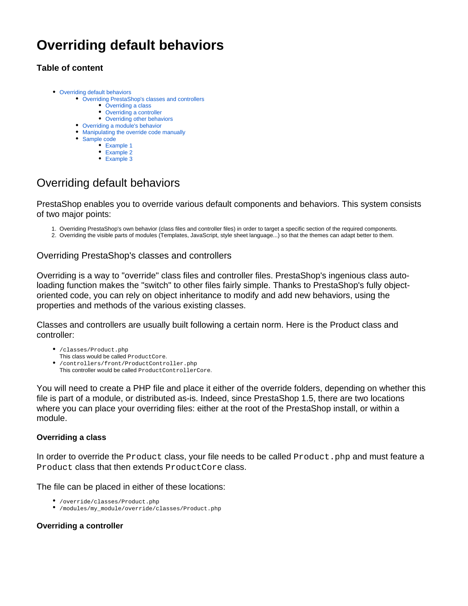# **Overriding default behaviors**

## **Table of content**

- [Overriding default behaviors](#page-0-0)
	- [Overriding PrestaShop's classes and controllers](#page-0-1)
		- **[Overriding a class](#page-0-2)**
		- [Overriding a controller](#page-0-3)
		- [Overriding other behaviors](#page-1-0)
	- [Overriding a module's behavior](#page-1-1) [Manipulating the override code manually](#page-1-2)
	- [Sample code](#page-2-0)
		- [Example 1](#page-2-1)
			- [Example 2](#page-3-0)
			- [Example 3](#page-3-1)

# <span id="page-0-0"></span>Overriding default behaviors

PrestaShop enables you to override various default components and behaviors. This system consists of two major points:

- 1. Overriding PrestaShop's own behavior (class files and controller files) in order to target a specific section of the required components.
- 2. Overriding the visible parts of modules (Templates, JavaScript, style sheet language...) so that the themes can adapt better to them.

### <span id="page-0-1"></span>Overriding PrestaShop's classes and controllers

Overriding is a way to "override" class files and controller files. PrestaShop's ingenious class autoloading function makes the "switch" to other files fairly simple. Thanks to PrestaShop's fully objectoriented code, you can rely on object inheritance to modify and add new behaviors, using the properties and methods of the various existing classes.

Classes and controllers are usually built following a certain norm. Here is the Product class and controller:

- /classes/Product.php This class would be called ProductCore.
- /controllers/front/ProductController.php This controller would be called ProductControllerCore.

You will need to create a PHP file and place it either of the override folders, depending on whether this file is part of a module, or distributed as-is. Indeed, since PrestaShop 1.5, there are two locations where you can place your overriding files: either at the root of the PrestaShop install, or within a module.

#### <span id="page-0-2"></span>**Overriding a class**

In order to override the Product class, your file needs to be called Product. php and must feature a Product class that then extends ProductCore class.

The file can be placed in either of these locations:

- /override/classes/Product.php
- /modules/my\_module/override/classes/Product.php

#### <span id="page-0-3"></span>**Overriding a controller**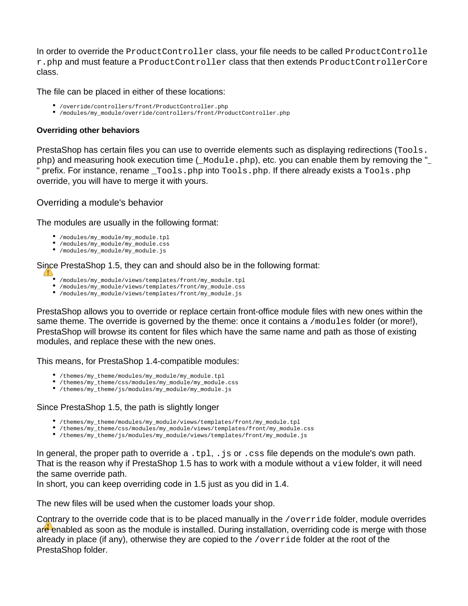In order to override the ProductController class, your file needs to be called ProductControlle r.php and must feature a ProductController class that then extends ProductControllerCore class.

The file can be placed in either of these locations:

- /override/controllers/front/ProductController.php
- /modules/my\_module/override/controllers/front/ProductController.php

#### <span id="page-1-0"></span>**Overriding other behaviors**

PrestaShop has certain files you can use to override elements such as displaying redirections (Tools. php) and measuring hook execution time (\_Module.php), etc. you can enable them by removing the "\_ " prefix. For instance, rename  $\_Tools.$  php into  $Tools.$  php. If there already exists a  $Tools.$  php override, you will have to merge it with yours.

#### <span id="page-1-1"></span>Overriding a module's behavior

The modules are usually in the following format:

- /modules/my\_module/my\_module.tpl
- /modules/my\_module/my\_module.css
- /modules/my\_module/my\_module.js

Since PrestaShop 1.5, they can and should also be in the following format:

- /modules/my\_module/views/templates/front/my\_module.tpl
- /modules/my\_module/views/templates/front/my\_module.css
- /modules/my\_module/views/templates/front/my\_module.js

PrestaShop allows you to override or replace certain front-office module files with new ones within the same theme. The override is governed by the theme: once it contains a /modules folder (or more!), PrestaShop will browse its content for files which have the same name and path as those of existing modules, and replace these with the new ones.

This means, for PrestaShop 1.4-compatible modules:

- /themes/my\_theme/modules/my\_module/my\_module.tpl
- /themes/my\_theme/css/modules/my\_module/my\_module.css
- /themes/my\_theme/js/modules/my\_module/my\_module.js

#### Since PrestaShop 1.5, the path is slightly longer

- /themes/my\_theme/modules/my\_module/views/templates/front/my\_module.tpl
- /themes/my\_theme/css/modules/my\_module/views/templates/front/my\_module.css
- /themes/my\_theme/js/modules/my\_module/views/templates/front/my\_module.js

In general, the proper path to override  $a$ .  $tp1$ , . js or . css file depends on the module's own path. That is the reason why if PrestaShop 1.5 has to work with a module without a view folder, it will need the same override path.

In short, you can keep overriding code in 1.5 just as you did in 1.4.

The new files will be used when the customer loads your shop.

<span id="page-1-2"></span>Contrary to the override code that is to be placed manually in the /override folder, module overrides are enabled as soon as the module is installed. During installation, overriding code is merge with those already in place (if any), otherwise they are copied to the  $/over$ ride folder at the root of the PrestaShop folder.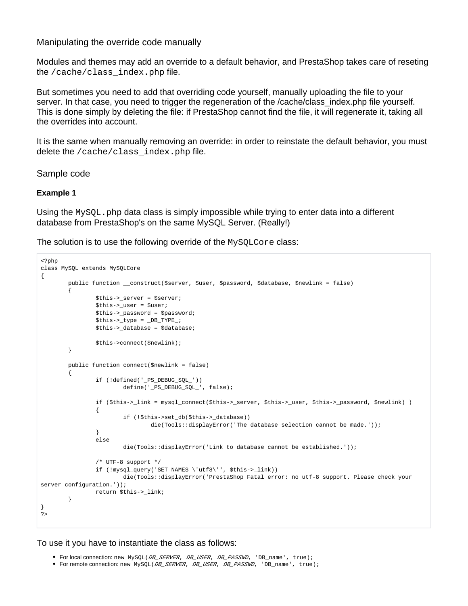#### Manipulating the override code manually

Modules and themes may add an override to a default behavior, and PrestaShop takes care of reseting the /cache/class\_index.php file.

But sometimes you need to add that overriding code yourself, manually uploading the file to your server. In that case, you need to trigger the regeneration of the /cache/class index.php file yourself. This is done simply by deleting the file: if PrestaShop cannot find the file, it will regenerate it, taking all the overrides into account.

It is the same when manually removing an override: in order to reinstate the default behavior, you must delete the /cache/class\_index.php file.

#### <span id="page-2-0"></span>Sample code

#### <span id="page-2-1"></span>**Example 1**

Using the  $M_ySQL$ . php data class is simply impossible while trying to enter data into a different database from PrestaShop's on the same MySQL Server. (Really!)

The solution is to use the following override of the MySQLCore class:

```
<?php
class MySQL extends MySQLCore
{
           public function __construct($server, $user, $password, $database, $newlink = false)
           {
                      $this->_server = $server;
                     $this->user = 'Suser;
                     $this->_password = $password;
                      $this->_type = _DB_TYPE_;
                     $this->_database = $database;
                      $this->connect($newlink);
           }
           public function connect($newlink = false)
\left\{ \begin{array}{ccc} 0 & 0 & 0 \\ 0 & 0 & 0 \\ 0 & 0 & 0 \\ 0 & 0 & 0 \\ 0 & 0 & 0 \\ 0 & 0 & 0 \\ 0 & 0 & 0 \\ 0 & 0 & 0 \\ 0 & 0 & 0 \\ 0 & 0 & 0 \\ 0 & 0 & 0 \\ 0 & 0 & 0 \\ 0 & 0 & 0 \\ 0 & 0 & 0 & 0 \\ 0 & 0 & 0 & 0 \\ 0 & 0 & 0 & 0 \\ 0 & 0 & 0 & 0 \\ 0 & 0 & 0 & 0 & 0 \\ 0 & 0 & 0 & 0 & 0 \\ 0 & 0 & 0 & 0 & 0 if (!defined('_PS_DEBUG_SQL_'))
                                define('_PS_DEBUG_SQL_', false);
                      if ($this->_link = mysql_connect($this->_server, $this->_user, $this->_password, $newlink) )
\{ if (!$this->set_db($this->_database))
                                           die(Tools::displayError('The database selection cannot be made.'));
 }
                      else
                                 die(Tools::displayError('Link to database cannot be established.'));
                      /* UTF-8 support */
                      if (!mysql_query('SET NAMES \'utf8\'', $this->_link))
                                die(Tools::displayError('PrestaShop Fatal error: no utf-8 support. Please check your 
server configuration.'));
                     return $this->_link;
           }
}
?>
```
#### To use it you have to instantiate the class as follows:

- For local connection: new MySQL(*DB\_SERVER, DB\_USER, DB\_PASSWD,* 'DB\_name', true);
- For remote connection: new MySQL(DB\_SERVER, DB\_USER, DB\_PASSWD, 'DB\_name', true);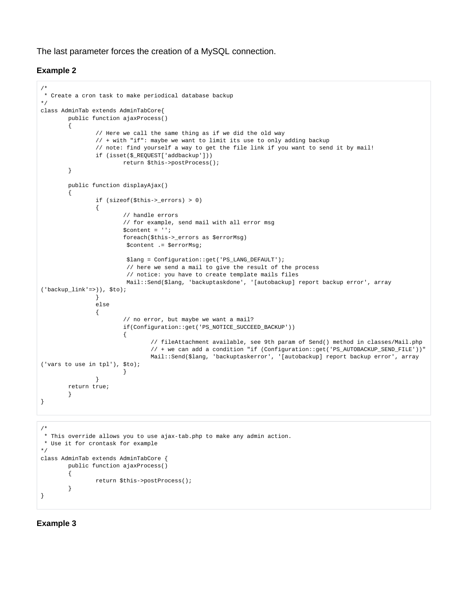The last parameter forces the creation of a MySQL connection.

#### <span id="page-3-0"></span>**Example 2**

```
/*
 * Create a cron task to make periodical database backup
*/
class AdminTab extends AdminTabCore{
          public function ajaxProcess()
          { 
                   // Here we call the same thing as if we did the old way
                   // + with "if": maybe we want to limit its use to only adding backup
                   // note: find yourself a way to get the file link if you want to send it by mail!
                   if (isset($_REQUEST['addbackup']))
                            return $this->postProcess();
 } 
          public function displayAjax()
\left\{ \begin{array}{ccc} 0 & 0 & 0 \\ 0 & 0 & 0 \\ 0 & 0 & 0 \\ 0 & 0 & 0 \\ 0 & 0 & 0 \\ 0 & 0 & 0 \\ 0 & 0 & 0 \\ 0 & 0 & 0 \\ 0 & 0 & 0 \\ 0 & 0 & 0 \\ 0 & 0 & 0 \\ 0 & 0 & 0 \\ 0 & 0 & 0 \\ 0 & 0 & 0 & 0 \\ 0 & 0 & 0 & 0 \\ 0 & 0 & 0 & 0 \\ 0 & 0 & 0 & 0 \\ 0 & 0 & 0 & 0 & 0 \\ 0 & 0 & 0 & 0 & 0 \\ 0 & 0 & 0 & 0 & 0 if (sizeof($this->_errors) > 0)
\{ // handle errors 
                            // for example, send mail with all error msg
                             $content = '';
                            foreach($this->_errors as $errorMsg)
                             $content .= $errorMsg;
                             $lang = Configuration::get('PS_LANG_DEFAULT');
                              // here we send a mail to give the result of the process
                             // notice: you have to create template mails files
                             Mail::Send($lang, 'backuptaskdone', '[autobackup] report backup error', array
('backup\_link' =>)), $to);
 }
                   else
\{ // no error, but maybe we want a mail?
                            if(Configuration::get('PS_NOTICE_SUCCEED_BACKUP')) 
\{ // fileAttachment available, see 9th param of Send() method in classes/Mail.php
                                      // + we can add a condition "if (Configuration::get('PS_AUTOBACKUP_SEND_FILE'))"
                                      Mail::Send($lang, 'backuptaskerror', '[autobackup] report backup error', array
('vars to use in tpl'), $to); 
 }
 }
          return true;
 }
}
/*
 * This override allows you to use ajax-tab.php to make any admin action.
 * Use it for crontask for example
*/
class AdminTab extends AdminTabCore {
          public function ajaxProcess()
          {
                   return $this->postProcess();
          }
}
```
#### <span id="page-3-1"></span>**Example 3**